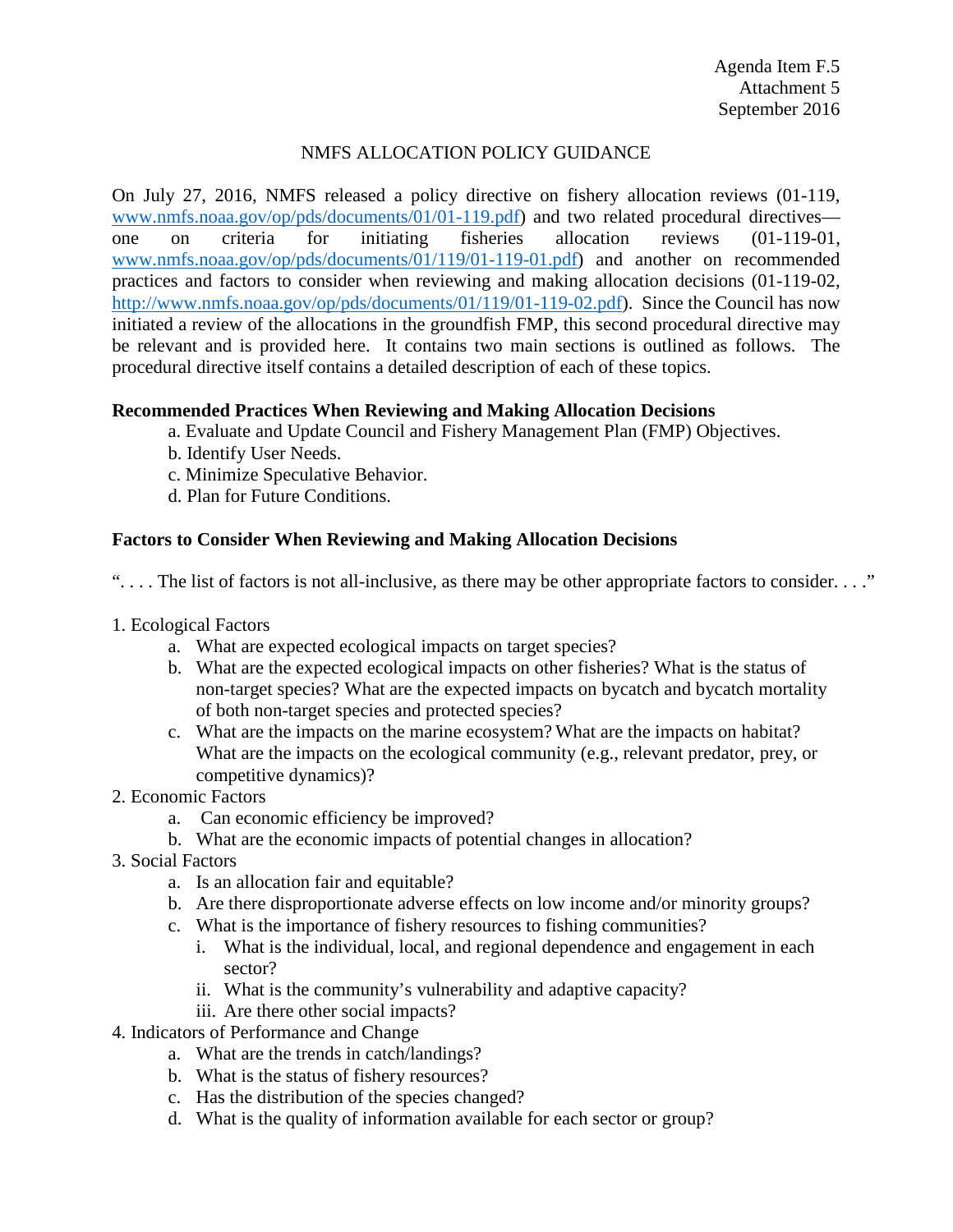## NMFS ALLOCATION POLICY GUIDANCE

On July 27, 2016, NMFS released a policy directive on fishery allocation reviews (01-119, [www.nmfs.noaa.gov/op/pds/documents/01/01-119.pdf\)](http://www.nmfs.noaa.gov/op/pds/documents/01/01-119.pdf) and two related procedural directives one on criteria for initiating fisheries allocation reviews (01-119-01, [www.nmfs.noaa.gov/op/pds/documents/01/119/01-119-01.pdf\)](http://www.nmfs.noaa.gov/op/pds/documents/01/119/01-119-01.pdf) and another on recommended practices and factors to consider when reviewing and making allocation decisions (01-119-02, [http://www.nmfs.noaa.gov/op/pds/documents/01/119/01-119-02.pdf\)](http://www.nmfs.noaa.gov/op/pds/documents/01/119/01-119-02.pdf). Since the Council has now initiated a review of the allocations in the groundfish FMP, this second procedural directive may be relevant and is provided here. It contains two main sections is outlined as follows. The procedural directive itself contains a detailed description of each of these topics.

## **Recommended Practices When Reviewing and Making Allocation Decisions**

- a. Evaluate and Update Council and Fishery Management Plan (FMP) Objectives.
- b. Identify User Needs.
- c. Minimize Speculative Behavior.
- d. Plan for Future Conditions.

## **Factors to Consider When Reviewing and Making Allocation Decisions**

". . . . The list of factors is not all-inclusive, as there may be other appropriate factors to consider. . . ."

- 1. Ecological Factors
	- a. What are expected ecological impacts on target species?
	- b. What are the expected ecological impacts on other fisheries? What is the status of non-target species? What are the expected impacts on bycatch and bycatch mortality of both non-target species and protected species?
	- c. What are the impacts on the marine ecosystem? What are the impacts on habitat? What are the impacts on the ecological community (e.g., relevant predator, prey, or competitive dynamics)?
- 2. Economic Factors
	- a. Can economic efficiency be improved?
	- b. What are the economic impacts of potential changes in allocation?
- 3. Social Factors
	- a. Is an allocation fair and equitable?
	- b. Are there disproportionate adverse effects on low income and/or minority groups?
	- c. What is the importance of fishery resources to fishing communities?
		- i. What is the individual, local, and regional dependence and engagement in each sector?
		- ii. What is the community's vulnerability and adaptive capacity?
		- iii. Are there other social impacts?
- 4. Indicators of Performance and Change
	- a. What are the trends in catch/landings?
	- b. What is the status of fishery resources?
	- c. Has the distribution of the species changed?
	- d. What is the quality of information available for each sector or group?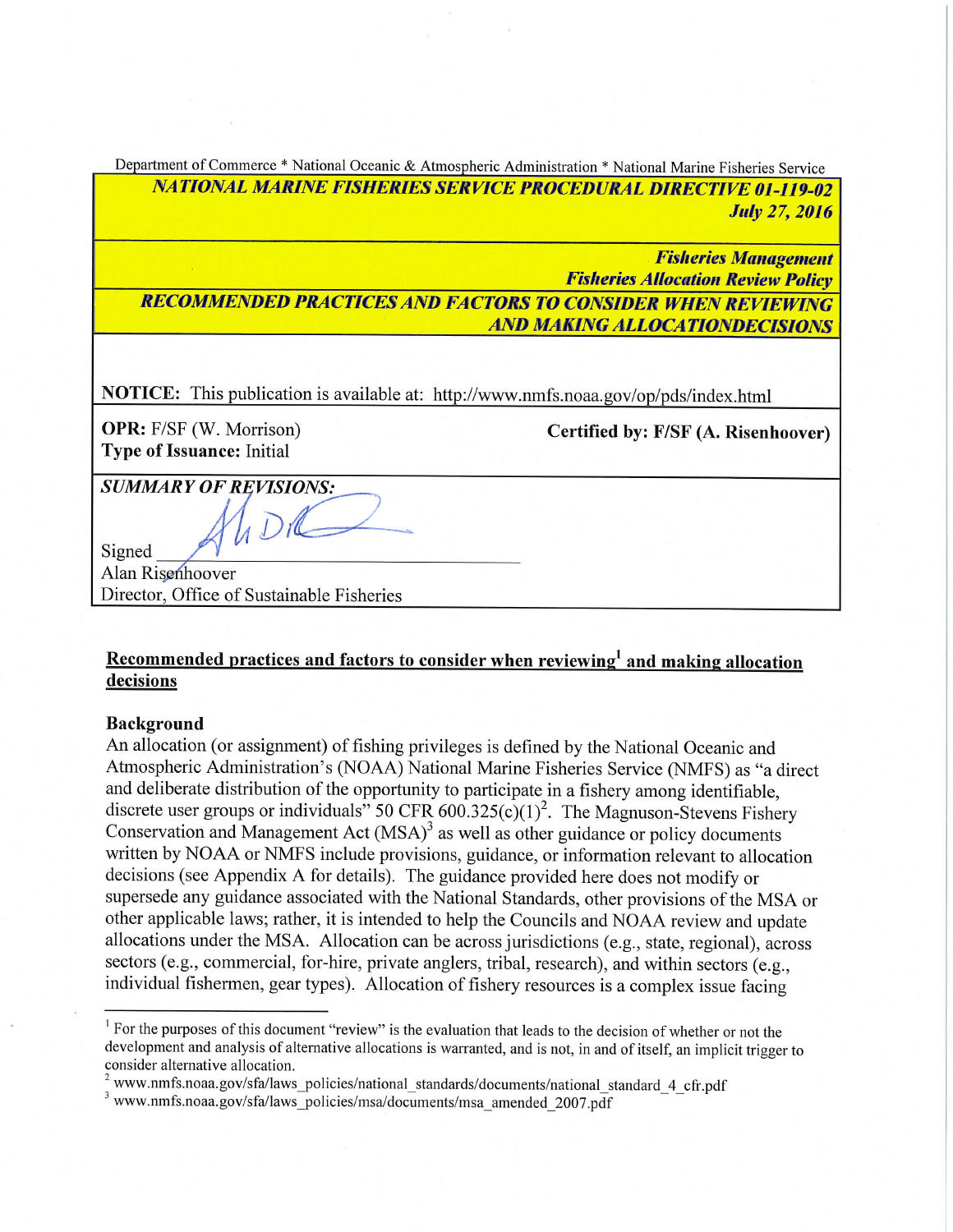| Department of Commerce * National Oceanic & Atmospheric Administration * National Marine Fisheries Service |
|------------------------------------------------------------------------------------------------------------|
| <b>NATIONAL MARINE FISHERIES SERVICE PROCEDURAL DIRECTIVE 01-119-02</b>                                    |
| <b>July 27, 2016</b>                                                                                       |
|                                                                                                            |
| <b>Fisheries Management</b>                                                                                |
| <b>Fisheries Allocation Review Policy</b>                                                                  |
| <b>RECOMMENDED PRACTICES AND FACTORS TO CONSIDER WHEN REVIEWING</b>                                        |
| <b>AND MAKING ALLOCATIONDECISIONS</b>                                                                      |
|                                                                                                            |
|                                                                                                            |
| NOTICE: This publication is available at: http://www.nmfs.noaa.gov/op/pds/index.html                       |
| <b>OPR:</b> F/SF (W. Morrison)                                                                             |
| Certified by: F/SF (A. Risenhoover)<br><b>Type of Issuance: Initial</b>                                    |
|                                                                                                            |
| <b>SUMMARY OF REVISIONS:</b>                                                                               |
|                                                                                                            |
|                                                                                                            |
| Signed                                                                                                     |

Alan Risenhoover Director, Office of Sustainable Fisheries

# Recommended practices and factors to consider when reviewing<sup>1</sup> and making allocation decisions

#### **Background**

An allocation (or assignment) of fishing privileges is defined by the National Oceanic and Atmospheric Administration's (NOAA) National Marine Fisheries Service (NMFS) as "a direct and deliberate distribution of the opportunity to participate in a fishery among identifiable, discrete user groups or individuals" 50 CFR  $600.325(c)(1)^2$ . The Magnuson-Stevens Fishery Conservation and Management Act (MSA)<sup>3</sup> as well as other guidance or policy documents written by NOAA or NMFS include provisions, guidance, or information relevant to allocation decisions (see Appendix A for details). The guidance provided here does not modify or supersede any guidance associated with the National Standards, other provisions of the MSA or other applicable laws; rather, it is intended to help the Councils and NOAA review and update allocations under the MSA. Allocation can be across jurisdictions (e.g., state, regional), across sectors (e.g., commercial, for-hire, private anglers, tribal, research), and within sectors (e.g., individual fishermen, gear types). Allocation of fishery resources is a complex issue facing

<sup>&</sup>lt;sup>1</sup> For the purposes of this document "review" is the evaluation that leads to the decision of whether or not the development and analysis of alternative allocations is warranted, and is not, in and of itself, an implicit trigger to consider alternative allocation.

 $2$  www.nmfs.noaa.gov/sfa/laws policies/national standards/documents/national standard 4 cfr.pdf

<sup>&</sup>lt;sup>3</sup> www.nmfs.noaa.gov/sfa/laws\_policies/msa/documents/msa\_amended\_2007.pdf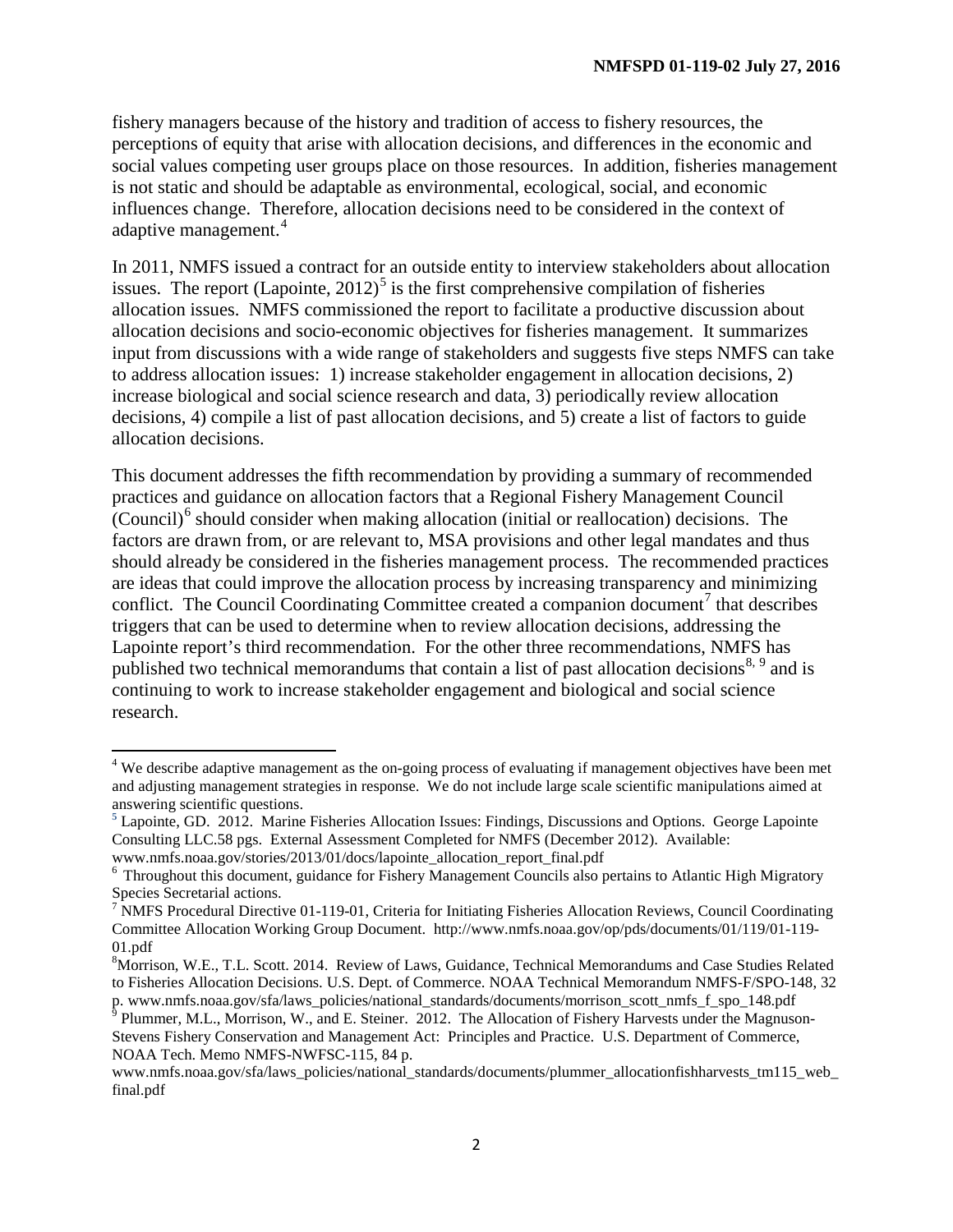fishery managers because of the history and tradition of access to fishery resources, the perceptions of equity that arise with allocation decisions, and differences in the economic and social values competing user groups place on those resources. In addition, fisheries management is not static and should be adaptable as environmental, ecological, social, and economic influences change. Therefore, allocation decisions need to be considered in the context of adaptive management. [4](#page-2-0)

In 2011, NMFS issued a contract for an outside entity to interview stakeholders about allocation issues. The report  $(Lapointe, 2012)^5$  $(Lapointe, 2012)^5$  is the first comprehensive compilation of fisheries allocation issues. NMFS commissioned the report to facilitate a productive discussion about allocation decisions and socio-economic objectives for fisheries management. It summarizes input from discussions with a wide range of stakeholders and suggests five steps NMFS can take to address allocation issues: 1) increase stakeholder engagement in allocation decisions, 2) increase biological and social science research and data, 3) periodically review allocation decisions, 4) compile a list of past allocation decisions, and 5) create a list of factors to guide allocation decisions.

This document addresses the fifth recommendation by providing a summary of recommended practices and guidance on allocation factors that a Regional Fishery Management Council  $\overline{(Countil)}^6$  $\overline{(Countil)}^6$  should consider when making allocation (initial or reallocation) decisions. The factors are drawn from, or are relevant to, MSA provisions and other legal mandates and thus should already be considered in the fisheries management process. The recommended practices are ideas that could improve the allocation process by increasing transparency and minimizing conflict. The Council Coordinating Committee created a companion document<sup>[7](#page-2-3)</sup> that describes triggers that can be used to determine when to review allocation decisions, addressing the Lapointe report's third recommendation. For the other three recommendations, NMFS has published two technical memorandums that contain a list of past allocation decisions<sup>[8](#page-2-4), [9](#page-2-5)</sup> and is continuing to work to increase stakeholder engagement and biological and social science research.

<span id="page-2-0"></span><sup>&</sup>lt;sup>4</sup> We describe adaptive management as the on-going process of evaluating if management objectives have been met and adjusting management strategies in response. We do not include large scale scientific manipulations aimed at answering scientific questions.

<span id="page-2-1"></span>**<sup>5</sup>** Lapointe, GD. 2012. Marine Fisheries Allocation Issues: Findings, Discussions and Options. George Lapointe Consulting LLC.58 pgs. External Assessment Completed for NMFS (December 2012). Available:

<span id="page-2-2"></span>www.nmfs.noaa.gov/stories/2013/01/docs/lapointe\_allocation\_report\_final.pdf <sup>6</sup> Throughout this document, guidance for Fishery Management Councils also pertains to Atlantic High Migratory Species Secretarial actions.

<span id="page-2-3"></span> $7$  NMFS Procedural Directive 01-119-01, Criteria for Initiating Fisheries Allocation Reviews, Council Coordinating Committee Allocation Working Group Document. http://www.nmfs.noaa.gov/op/pds/documents/01/119/01-119- 01.pdf

<span id="page-2-4"></span><sup>&</sup>lt;sup>8</sup>Morrison, W.E., T.L. Scott. 2014. Review of Laws, Guidance, Technical Memorandums and Case Studies Related to Fisheries Allocation Decisions. U.S. Dept. of Commerce. NOAA Technical Memorandum NMFS-F/SPO-148, 32 p. www.nmfs.noaa.gov/sfa/laws\_policies/national\_standards/documents/morrison\_scott\_nmfs\_f\_spo\_148.pdf 9 Plummer, M.L., Morrison, W., and E. Steiner. 2012. The Allocation of Fishery Harvests under the Magnuson-

<span id="page-2-5"></span>Stevens Fishery Conservation and Management Act: Principles and Practice. U.S. Department of Commerce, NOAA Tech. Memo NMFS-NWFSC-115, 84 p.

www.nmfs.noaa.gov/sfa/laws\_policies/national\_standards/documents/plummer\_allocationfishharvests\_tm115\_web final.pdf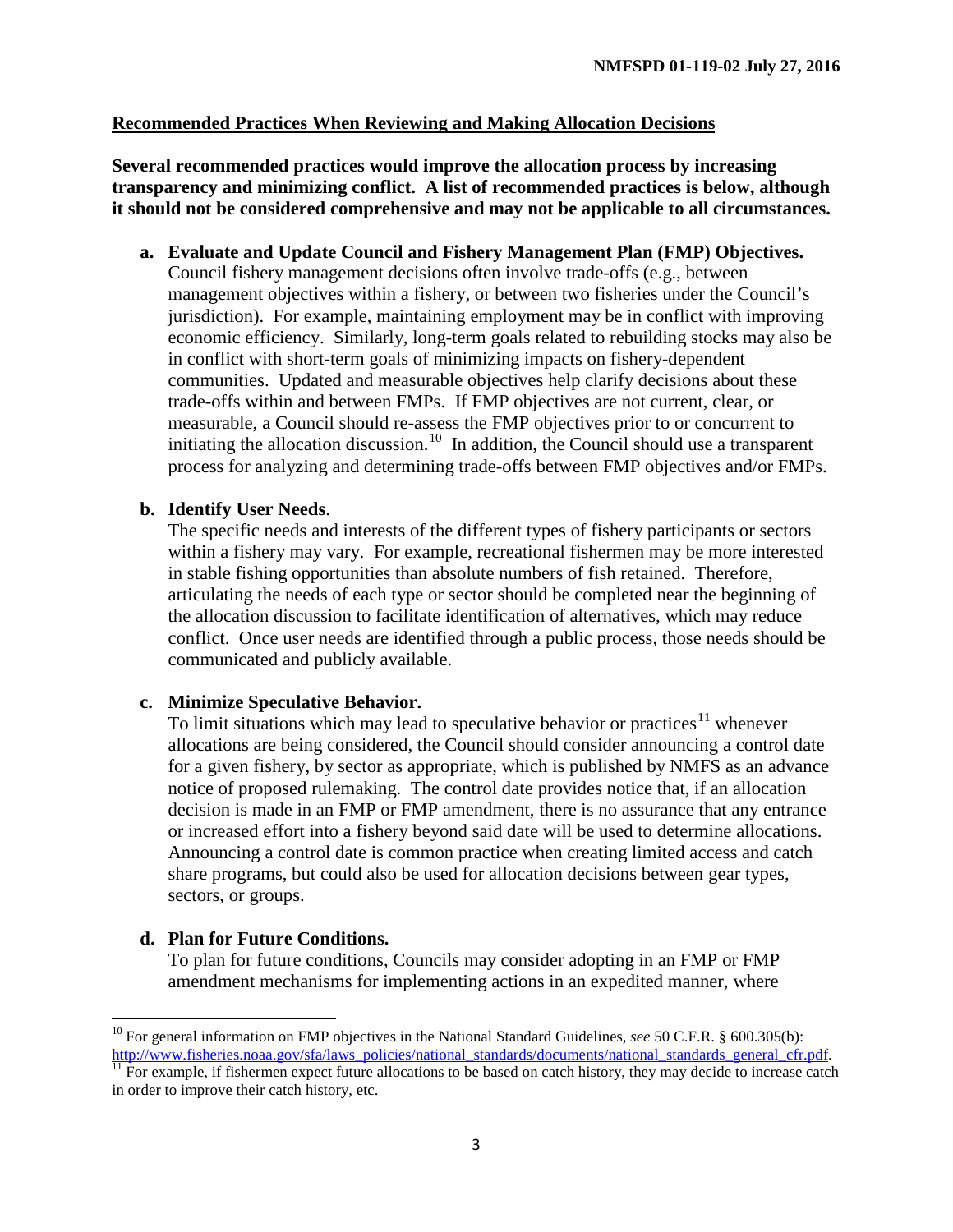#### **Recommended Practices When Reviewing and Making Allocation Decisions**

**Several recommended practices would improve the allocation process by increasing transparency and minimizing conflict. A list of recommended practices is below, although it should not be considered comprehensive and may not be applicable to all circumstances.** 

**a. Evaluate and Update Council and Fishery Management Plan (FMP) Objectives.** Council fishery management decisions often involve trade-offs (e.g., between management objectives within a fishery, or between two fisheries under the Council's jurisdiction). For example, maintaining employment may be in conflict with improving economic efficiency. Similarly, long-term goals related to rebuilding stocks may also be in conflict with short-term goals of minimizing impacts on fishery-dependent communities. Updated and measurable objectives help clarify decisions about these trade-offs within and between FMPs. If FMP objectives are not current, clear, or measurable, a Council should re-assess the FMP objectives prior to or concurrent to initiating the allocation discussion.<sup>[10](#page-3-0)</sup> In addition, the Council should use a transparent process for analyzing and determining trade-offs between FMP objectives and/or FMPs.

#### **b. Identify User Needs**.

The specific needs and interests of the different types of fishery participants or sectors within a fishery may vary. For example, recreational fishermen may be more interested in stable fishing opportunities than absolute numbers of fish retained. Therefore, articulating the needs of each type or sector should be completed near the beginning of the allocation discussion to facilitate identification of alternatives, which may reduce conflict. Once user needs are identified through a public process, those needs should be communicated and publicly available.

#### **c. Minimize Speculative Behavior.**

To limit situations which may lead to speculative behavior or practices<sup>[11](#page-3-1)</sup> whenever allocations are being considered, the Council should consider announcing a control date for a given fishery, by sector as appropriate, which is published by NMFS as an advance notice of proposed rulemaking. The control date provides notice that, if an allocation decision is made in an FMP or FMP amendment, there is no assurance that any entrance or increased effort into a fishery beyond said date will be used to determine allocations. Announcing a control date is common practice when creating limited access and catch share programs, but could also be used for allocation decisions between gear types, sectors, or groups.

#### **d. Plan for Future Conditions.**

To plan for future conditions, Councils may consider adopting in an FMP or FMP amendment mechanisms for implementing actions in an expedited manner, where

<span id="page-3-1"></span><span id="page-3-0"></span><sup>&</sup>lt;sup>10</sup> For general information on FMP objectives in the National Standard Guidelines, *see* 50 C.F.R. § 600.305(b):<br>http://www.fisheries.noaa.gov/sfa/laws policies/national standards/documents/national standards general cfr.  $\overline{11}$  For example, if fishermen expect future allocations to be based on catch history, they may decide to increase catch in order to improve their catch history, etc.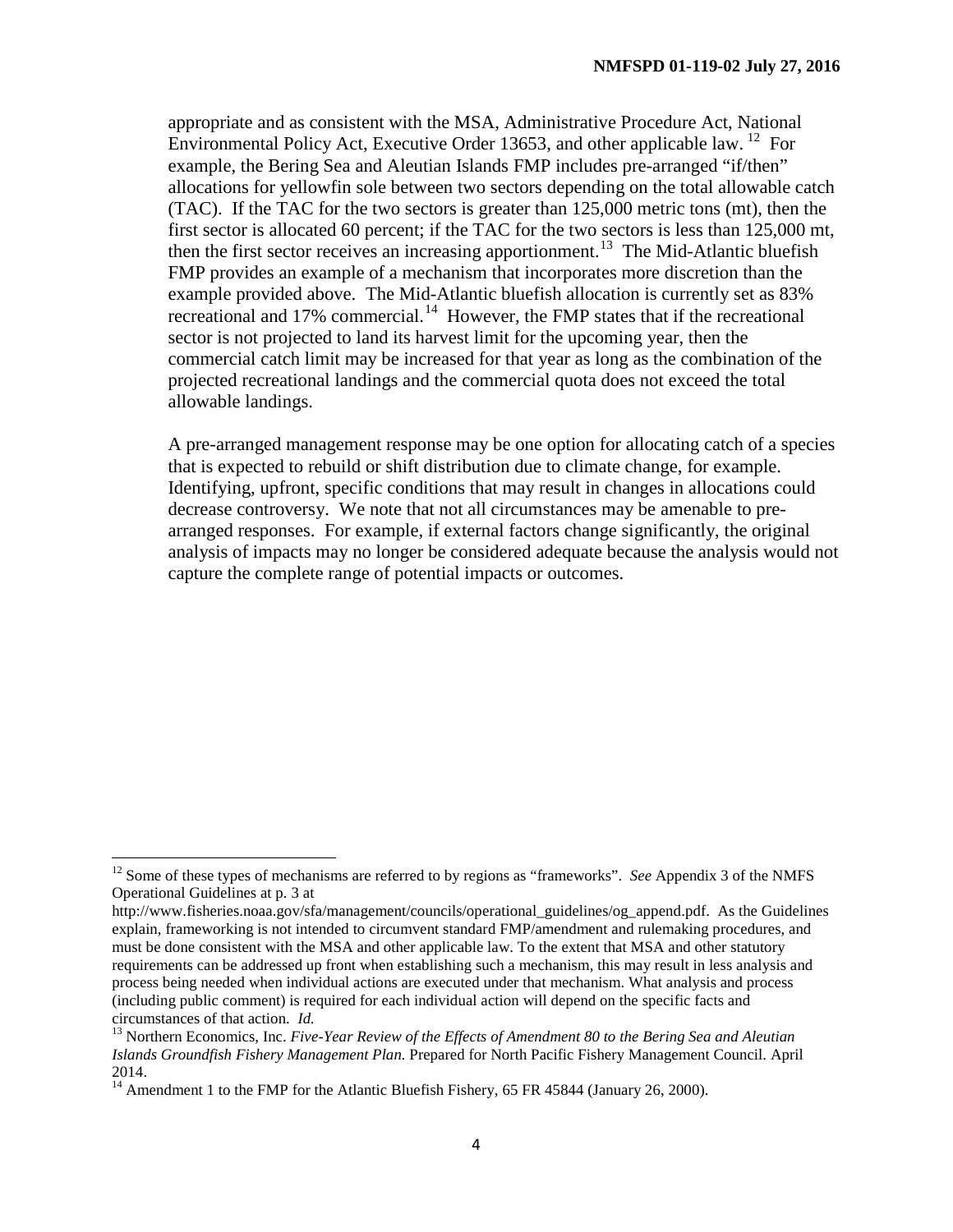appropriate and as consistent with the MSA, Administrative Procedure Act, National Environmental Policy Act, Executive Order 13653, and other applicable law. <sup>12</sup> For example, the Bering Sea and Aleutian Islands FMP includes pre-arranged "if/then" allocations for yellowfin sole between two sectors depending on the total allowable catch (TAC). If the TAC for the two sectors is greater than 125,000 metric tons (mt), then the first sector is allocated 60 percent; if the TAC for the two sectors is less than 125,000 mt, then the first sector receives an increasing apportionment.<sup>13</sup> The Mid-Atlantic bluefish FMP provides an example of a mechanism that incorporates more discretion than the example provided above. The Mid-Atlantic bluefish allocation is currently set as 83% recreational and 17% commercial.<sup>[14](#page-4-2)</sup> However, the FMP states that if the recreational sector is not projected to land its harvest limit for the upcoming year, then the commercial catch limit may be increased for that year as long as the combination of the projected recreational landings and the commercial quota does not exceed the total allowable landings.

A pre-arranged management response may be one option for allocating catch of a species that is expected to rebuild or shift distribution due to climate change, for example. Identifying, upfront, specific conditions that may result in changes in allocations could decrease controversy. We note that not all circumstances may be amenable to prearranged responses. For example, if external factors change significantly, the original analysis of impacts may no longer be considered adequate because the analysis would not capture the complete range of potential impacts or outcomes.

<span id="page-4-0"></span><sup>&</sup>lt;sup>12</sup> Some of these types of mechanisms are referred to by regions as "frameworks". *See* Appendix 3 of the NMFS Operational Guidelines at p. 3 at

http://www.fisheries.noaa.gov/sfa/management/councils/operational\_guidelines/og\_append.pdf. As the Guidelines explain, frameworking is not intended to circumvent standard FMP/amendment and rulemaking procedures, and must be done consistent with the MSA and other applicable law. To the extent that MSA and other statutory requirements can be addressed up front when establishing such a mechanism, this may result in less analysis and process being needed when individual actions are executed under that mechanism. What analysis and process (including public comment) is required for each individual action will depend on the specific facts and circumstances of that action.  $Id$ .

<span id="page-4-1"></span><sup>&</sup>lt;sup>13</sup> Northern Economics, Inc. *Five-Year Review of the Effects of Amendment 80 to the Bering Sea and Aleutian Islands Groundfish Fishery Management Plan.* Prepared for North Pacific Fishery Management Council. April 2014.

<span id="page-4-2"></span><sup>&</sup>lt;sup>14</sup> Amendment 1 to the FMP for the Atlantic Bluefish Fishery, 65 FR 45844 (January 26, 2000).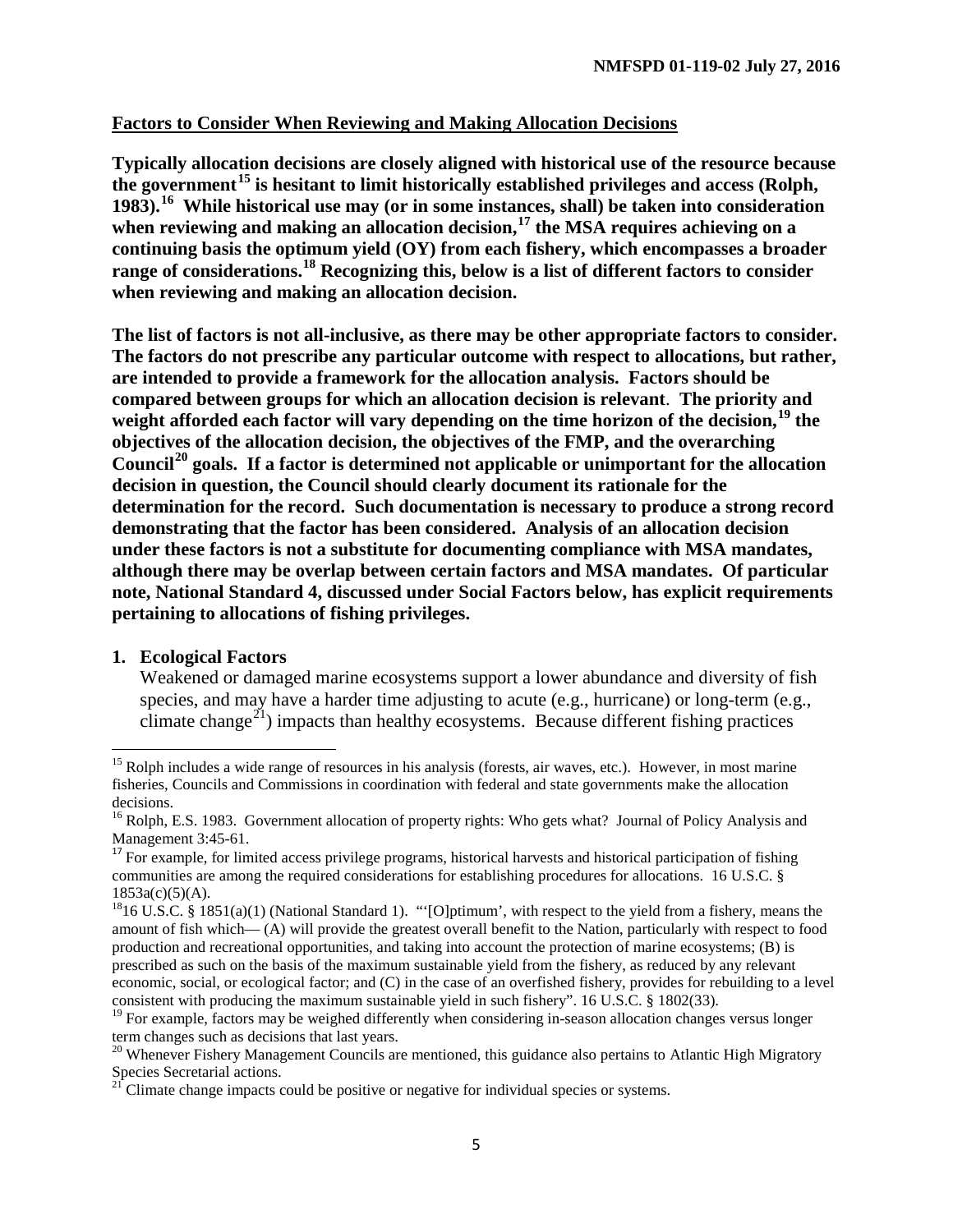#### **Factors to Consider When Reviewing and Making Allocation Decisions**

**Typically allocation decisions are closely aligned with historical use of the resource because the government[15](#page-5-0) is hesitant to limit historically established privileges and access (Rolph, 1983).[16](#page-5-1) While historical use may (or in some instances, shall) be taken into consideration when reviewing and making an allocation decision,[17](#page-5-2) the MSA requires achieving on a continuing basis the optimum yield (OY) from each fishery, which encompasses a broader range of considerations. [18](#page-5-3) Recognizing this, below is a list of different factors to consider when reviewing and making an allocation decision.** 

**The list of factors is not all-inclusive, as there may be other appropriate factors to consider. The factors do not prescribe any particular outcome with respect to allocations, but rather, are intended to provide a framework for the allocation analysis. Factors should be compared between groups for which an allocation decision is relevant**. **The priority and weight afforded each factor will vary depending on the time horizon of the decision, [19](#page-5-4) the objectives of the allocation decision, the objectives of the FMP, and the overarching Council[20](#page-5-5) goals. If a factor is determined not applicable or unimportant for the allocation decision in question, the Council should clearly document its rationale for the determination for the record. Such documentation is necessary to produce a strong record demonstrating that the factor has been considered. Analysis of an allocation decision under these factors is not a substitute for documenting compliance with MSA mandates, although there may be overlap between certain factors and MSA mandates. Of particular note, National Standard 4, discussed under Social Factors below, has explicit requirements pertaining to allocations of fishing privileges.** 

#### **1. Ecological Factors**

Weakened or damaged marine ecosystems support a lower abundance and diversity of fish species, and may have a harder time adjusting to acute (e.g., hurricane) or long-term (e.g., climate change<sup>[21](#page-5-6)</sup>) impacts than healthy ecosystems. Because different fishing practices

<span id="page-5-0"></span> $15$  Rolph includes a wide range of resources in his analysis (forests, air waves, etc.). However, in most marine fisheries, Councils and Commissions in coordination with federal and state governments make the allocation decisions.

<span id="page-5-1"></span><sup>&</sup>lt;sup>16</sup> Rolph, E.S. 1983. Government allocation of property rights: Who gets what? Journal of Policy Analysis and Management 3:45-61.<br><sup>17</sup> For example, for limited access privilege programs, historical harvests and historical participation of fishing

<span id="page-5-2"></span>communities are among the required considerations for establishing procedures for allocations. 16 U.S.C. § 1853a(c)(5)(A).

<span id="page-5-3"></span><sup>&</sup>lt;sup>18</sup>16 U.S.C. § 1851(a)(1) (National Standard 1). "'[O]ptimum', with respect to the yield from a fishery, means the amount of fish which— (A) will provide the greatest overall benefit to the Nation, particularly with respect to food production and recreational opportunities, and taking into account the protection of marine ecosystems; (B) is prescribed as such on the basis of the maximum sustainable yield from the fishery, as reduced by any relevant economic, social, or ecological factor; and (C) in the case of an overfished fishery, provides for rebuilding to a level consistent with producing the maximum sustainable yield in such fishery". 16 U.S.C. § 1802(33).

<span id="page-5-4"></span><sup>&</sup>lt;sup>19</sup> For example, factors may be weighed differently when considering in-season allocation changes versus longer term changes such as decisions that last years.

<span id="page-5-5"></span><sup>&</sup>lt;sup>20</sup> Whenever Fishery Management Councils are mentioned, this guidance also pertains to Atlantic High Migratory Species Secretarial actions.

<span id="page-5-6"></span><sup>&</sup>lt;sup>21</sup> Climate change impacts could be positive or negative for individual species or systems.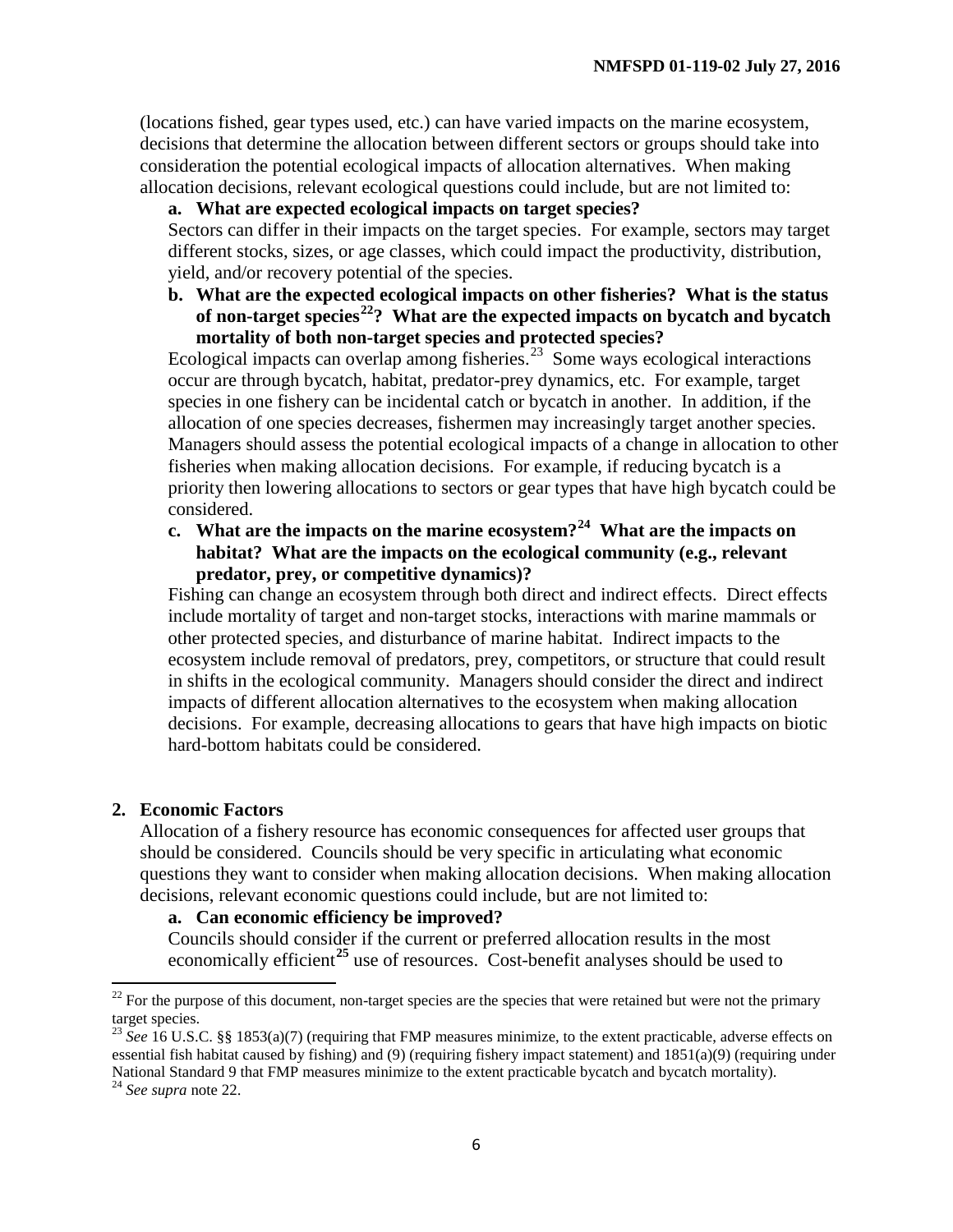(locations fished, gear types used, etc.) can have varied impacts on the marine ecosystem, decisions that determine the allocation between different sectors or groups should take into consideration the potential ecological impacts of allocation alternatives. When making allocation decisions, relevant ecological questions could include, but are not limited to:

## **a. What are expected ecological impacts on target species?**

Sectors can differ in their impacts on the target species. For example, sectors may target different stocks, sizes, or age classes, which could impact the productivity, distribution, yield, and/or recovery potential of the species.

**b. What are the expected ecological impacts on other fisheries? What is the status of non-target species[22](#page-6-0)? What are the expected impacts on bycatch and bycatch mortality of both non-target species and protected species?**

Ecological impacts can overlap among fisheries.<sup>[23](#page-6-1)</sup> Some ways ecological interactions occur are through bycatch, habitat, predator-prey dynamics, etc. For example, target species in one fishery can be incidental catch or bycatch in another. In addition, if the allocation of one species decreases, fishermen may increasingly target another species. Managers should assess the potential ecological impacts of a change in allocation to other fisheries when making allocation decisions. For example, if reducing bycatch is a priority then lowering allocations to sectors or gear types that have high bycatch could be considered.

**c. What are the impacts on the marine ecosystem?[24](#page-6-2) What are the impacts on habitat? What are the impacts on the ecological community (e.g., relevant predator, prey, or competitive dynamics)?**

Fishing can change an ecosystem through both direct and indirect effects. Direct effects include mortality of target and non-target stocks, interactions with marine mammals or other protected species, and disturbance of marine habitat. Indirect impacts to the ecosystem include removal of predators, prey, competitors, or structure that could result in shifts in the ecological community. Managers should consider the direct and indirect impacts of different allocation alternatives to the ecosystem when making allocation decisions. For example, decreasing allocations to gears that have high impacts on biotic hard-bottom habitats could be considered.

#### <span id="page-6-3"></span>**2. Economic Factors**

Allocation of a fishery resource has economic consequences for affected user groups that should be considered. Councils should be very specific in articulating what economic questions they want to consider when making allocation decisions. When making allocation decisions, relevant economic questions could include, but are not limited to:

#### **a. Can economic efficiency be improved?**

Councils should consider if the current or preferred allocation results in the most economically efficient**[25](#page-6-3)** use of resources. Cost-benefit analyses should be used to

<span id="page-6-0"></span> $22$  For the purpose of this document, non-target species are the species that were retained but were not the primary target species.

<span id="page-6-1"></span><sup>&</sup>lt;sup>23</sup> See 16 U.S.C. §§ 1853(a)(7) (requiring that FMP measures minimize, to the extent practicable, adverse effects on essential fish habitat caused by fishing) and (9) (requiring fishery impact statement) and 1851(a)(9) (requiring under National Standard 9 that FMP measures minimize to the extent practicable bycatch and bycatch mortality). 24 *See supra* note 22.

<span id="page-6-2"></span>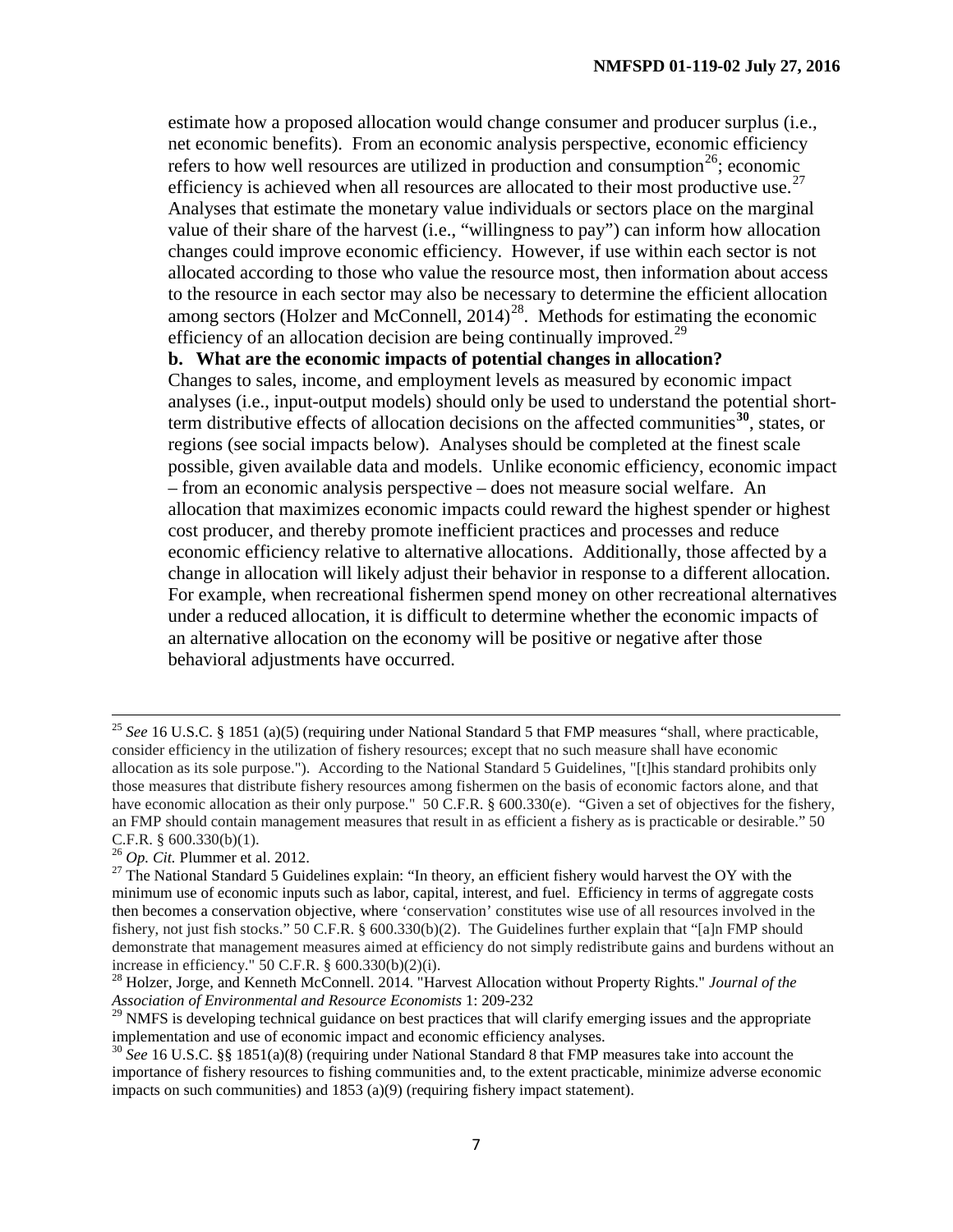estimate how a proposed allocation would change consumer and producer surplus (i.e., net economic benefits). From an economic analysis perspective, economic efficiency refers to how well resources are utilized in production and consumption<sup>[26](#page-7-0)</sup>; economic efficiency is achieved when all resources are allocated to their most productive use.<sup>27</sup> Analyses that estimate the monetary value individuals or sectors place on the marginal value of their share of the harvest (i.e., "willingness to pay") can inform how allocation changes could improve economic efficiency. However, if use within each sector is not allocated according to those who value the resource most, then information about access to the resource in each sector may also be necessary to determine the efficient allocation among sectors (Holzer and McConnell,  $2014<sup>28</sup>$ . Methods for estimating the economic efficiency of an allocation decision are being continually improved.<sup>[29](#page-7-3)</sup>

#### **b. What are the economic impacts of potential changes in allocation?**

Changes to sales, income, and employment levels as measured by economic impact analyses (i.e., input-output models) should only be used to understand the potential shortterm distributive effects of allocation decisions on the affected communities**[30](#page-7-4)**, states, or regions (see social impacts below). Analyses should be completed at the finest scale possible, given available data and models. Unlike economic efficiency, economic impact – from an economic analysis perspective – does not measure social welfare. An allocation that maximizes economic impacts could reward the highest spender or highest cost producer, and thereby promote inefficient practices and processes and reduce economic efficiency relative to alternative allocations. Additionally, those affected by a change in allocation will likely adjust their behavior in response to a different allocation. For example, when recreational fishermen spend money on other recreational alternatives under a reduced allocation, it is difficult to determine whether the economic impacts of an alternative allocation on the economy will be positive or negative after those behavioral adjustments have occurred.

<sup>25</sup> *See* 16 U.S.C. § 1851 (a)(5) (requiring under National Standard 5 that FMP measures "shall, where practicable, consider efficiency in the utilization of fishery resources; except that no such measure shall have economic allocation as its sole purpose."). According to the National Standard 5 Guidelines, "[t]his standard prohibits only those measures that distribute fishery resources among fishermen on the basis of economic factors alone, and that have economic allocation as their only purpose." 50 C.F.R. § 600.330(e). "Given a set of objectives for the fishery, an FMP should contain management measures that result in as efficient a fishery as is practicable or desirable." 50 C.F.R. § 600.330(b)(1). 26 *Op. Cit.* Plummer et al. 2012. 27 The National Standard 5 Guidelines explain: "In theory, an efficient fishery would harvest the OY with the

<span id="page-7-1"></span><span id="page-7-0"></span>minimum use of economic inputs such as labor, capital, interest, and fuel. Efficiency in terms of aggregate costs then becomes a conservation objective, where 'conservation' constitutes wise use of all resources involved in the fishery, not just fish stocks." 50 C.F.R. § 600.330(b)(2). The Guidelines further explain that "[a]n FMP should demonstrate that management measures aimed at efficiency do not simply redistribute gains and burdens without an increase in efficiency." 50 C.F.R. § 600.330(b)(2)(i).

<span id="page-7-2"></span><sup>28</sup> Holzer, Jorge, and Kenneth McConnell. 2014. "Harvest Allocation without Property Rights." *Journal of the Association of Environmental and Resource Economists* 1: 209-232

<span id="page-7-3"></span> $29$  NMFS is developing technical guidance on best practices that will clarify emerging issues and the appropriate implementation and use of economic impact and economic efficiency analyses.

<span id="page-7-4"></span><sup>&</sup>lt;sup>30</sup> See 16 U.S.C. §§ 1851(a)(8) (requiring under National Standard 8 that FMP measures take into account the importance of fishery resources to fishing communities and, to the extent practicable, minimize adverse economic impacts on such communities) and 1853 (a)(9) (requiring fishery impact statement).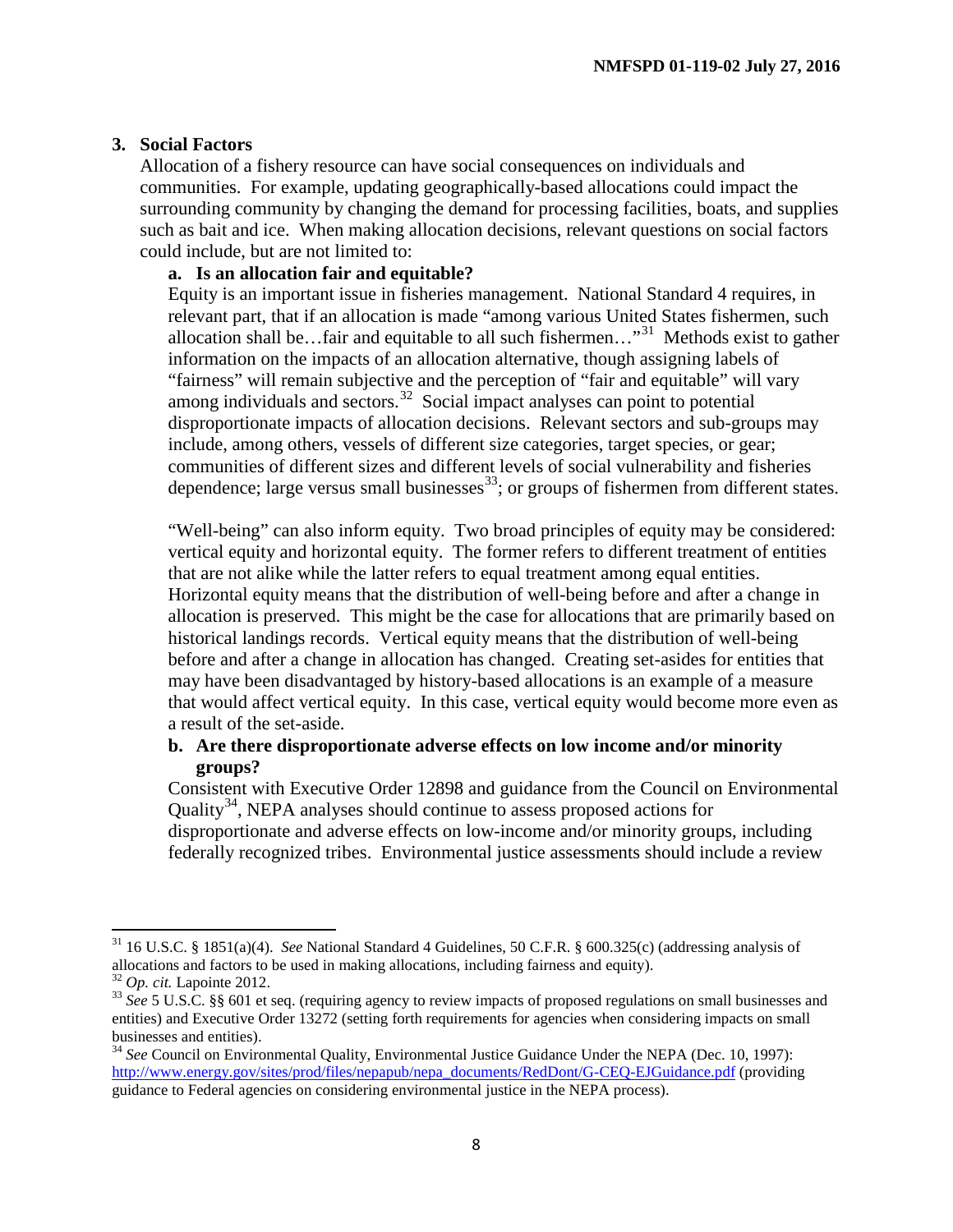## **3. Social Factors**

Allocation of a fishery resource can have social consequences on individuals and communities. For example, updating geographically-based allocations could impact the surrounding community by changing the demand for processing facilities, boats, and supplies such as bait and ice. When making allocation decisions, relevant questions on social factors could include, but are not limited to:

## **a. Is an allocation fair and equitable?**

Equity is an important issue in fisheries management. National Standard 4 requires, in relevant part, that if an allocation is made "among various United States fishermen, such allocation shall be…fair and equitable to all such fishermen…"[31](#page-8-0) Methods exist to gather information on the impacts of an allocation alternative, though assigning labels of "fairness" will remain subjective and the perception of "fair and equitable" will vary among individuals and sectors.<sup>[32](#page-8-1)</sup> Social impact analyses can point to potential disproportionate impacts of allocation decisions. Relevant sectors and sub-groups may include, among others, vessels of different size categories, target species, or gear; communities of different sizes and different levels of social vulnerability and fisheries dependence; large versus small businesses $^{33}$ ; or groups of fishermen from different states.

"Well-being" can also inform equity. Two broad principles of equity may be considered: vertical equity and horizontal equity. The former refers to different treatment of entities that are not alike while the latter refers to equal treatment among equal entities. Horizontal equity means that the distribution of well-being before and after a change in allocation is preserved. This might be the case for allocations that are primarily based on historical landings records. Vertical equity means that the distribution of well-being before and after a change in allocation has changed. Creating set-asides for entities that may have been disadvantaged by history-based allocations is an example of a measure that would affect vertical equity. In this case, vertical equity would become more even as a result of the set-aside.

## **b. Are there disproportionate adverse effects on low income and/or minority groups?**

Consistent with Executive Order 12898 and guidance from the Council on Environmental Quality<sup>34</sup>, NEPA analyses should continue to assess proposed actions for disproportionate and adverse effects on low-income and/or minority groups, including federally recognized tribes. Environmental justice assessments should include a review

<span id="page-8-0"></span><sup>31</sup> 16 U.S.C. § 1851(a)(4). *See* National Standard 4 Guidelines, 50 C.F.R. § 600.325(c) (addressing analysis of

<span id="page-8-2"></span>

<span id="page-8-1"></span> $^{32}$  Op. cit. Lapointe 2012.<br> $^{33}$  See 5 U.S.C. §§ 601 et seq. (requiring agency to review impacts of proposed regulations on small businesses and entities) and Executive Order 13272 (setting forth requirements for agencies when considering impacts on small businesses and entities).<br><sup>34</sup> *See* Council on Environmental Quality, Environmental Justice Guidance Under the NEPA (Dec. 10, 1997):

<span id="page-8-3"></span>[http://www.energy.gov/sites/prod/files/nepapub/nepa\\_documents/RedDont/G-CEQ-EJGuidance.pdf](http://www.energy.gov/sites/prod/files/nepapub/nepa_documents/RedDont/G-CEQ-EJGuidance.pdf) (providing guidance to Federal agencies on considering environmental justice in the NEPA process).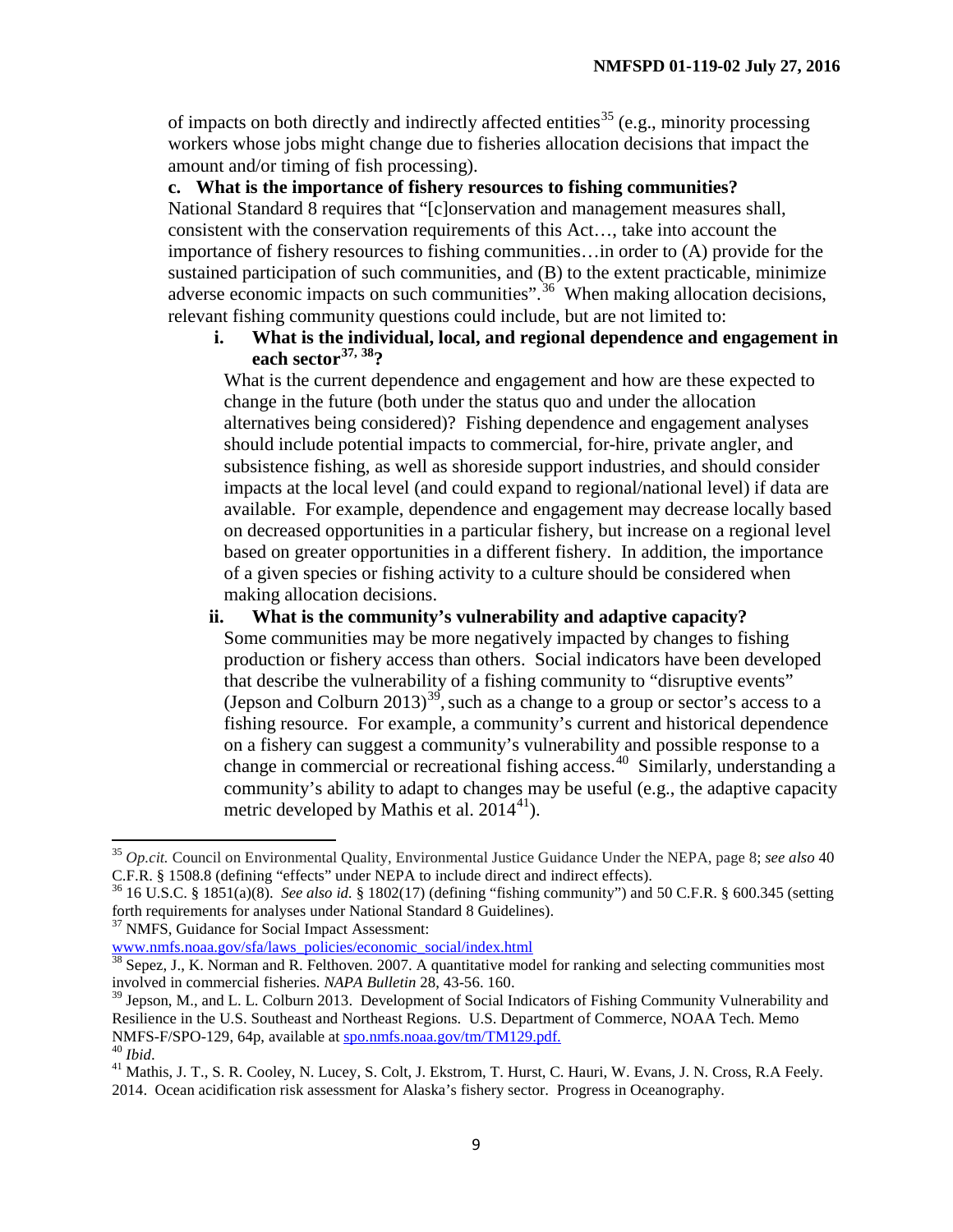of impacts on both directly and indirectly affected entities<sup>[35](#page-9-0)</sup> (e.g., minority processing workers whose jobs might change due to fisheries allocation decisions that impact the amount and/or timing of fish processing).

## **c. What is the importance of fishery resources to fishing communities?**

National Standard 8 requires that "[c]onservation and management measures shall, consistent with the conservation requirements of this Act…, take into account the importance of fishery resources to fishing communities…in order to (A) provide for the sustained participation of such communities, and (B) to the extent practicable, minimize adverse economic impacts on such communities".<sup>36</sup> When making allocation decisions, relevant fishing community questions could include, but are not limited to:

**i. What is the individual, local, and regional dependence and engagement in each sector[37,](#page-9-2) [38](#page-9-3)?**

What is the current dependence and engagement and how are these expected to change in the future (both under the status quo and under the allocation alternatives being considered)? Fishing dependence and engagement analyses should include potential impacts to commercial, for-hire, private angler, and subsistence fishing, as well as shoreside support industries, and should consider impacts at the local level (and could expand to regional/national level) if data are available. For example, dependence and engagement may decrease locally based on decreased opportunities in a particular fishery, but increase on a regional level based on greater opportunities in a different fishery. In addition, the importance of a given species or fishing activity to a culture should be considered when making allocation decisions.

## **ii. What is the community's vulnerability and adaptive capacity?**

Some communities may be more negatively impacted by changes to fishing production or fishery access than others. Social indicators have been developed that describe the vulnerability of a fishing community to "disruptive events" (Jepson and Colburn 2013)<sup>[39](#page-9-4)</sup>, such as a change to a group or sector's access to a fishing resource. For example, a community's current and historical dependence on a fishery can suggest a community's vulnerability and possible response to a change in commercial or recreational fishing access.<sup>[40](#page-9-5)</sup> Similarly, understanding a community's ability to adapt to changes may be useful (e.g., the adaptive capacity metric developed by Mathis et al.  $2014^{41}$  $2014^{41}$  $2014^{41}$ ).

<span id="page-9-2"></span><sup>37</sup> NMFS, Guidance for Social Impact Assessment:

<span id="page-9-0"></span><sup>35</sup> *Op.cit.* Council on Environmental Quality, Environmental Justice Guidance Under the NEPA, page 8; *see also* <sup>40</sup> C.F.R. § 1508.8 (defining "effects" under NEPA to include direct and indirect effects). <sup>36</sup> 16 U.S.C. § 1851(a)(8). *See also id.* § 1802(17) (defining "fishing community") and 50 C.F.R. § 600.345 (setting

<span id="page-9-1"></span>forth requirements for analyses under National Standard 8 Guidelines).

[www.nmfs.noaa.gov/sfa/laws\\_policies/economic\\_social/index.html](http://www.nmfs.noaa.gov/sfa/laws_policies/economic_social/index.html)

<span id="page-9-3"></span> $38$  Sepez, J., K. Norman and R. Felthoven. 2007. A quantitative model for ranking and selecting communities most involved in commercial fisheries. *NAPA Bulletin* 28, 43-56. 160.

<span id="page-9-4"></span><sup>&</sup>lt;sup>39</sup> Jepson, M., and L. L. Colburn 2013. Development of Social Indicators of Fishing Community Vulnerability and Resilience in the U.S. Southeast and Northeast Regions. U.S. Department of Commerce, NOAA Tech. Memo NMFS-F/SPO-129, 64p, available at [spo.nmfs.noaa.gov/tm/TM129.pdf.](file://HQDATA4/SF/SF3/National%20Standard%204/Workgroup%20-%20Policy/feedback%20from%20LC/spo.nmfs.noaa.gov/tm/TM129.pdf)<br><sup>40</sup> *Ibid.* 41 Mathis, J. T., S. R. Cooley, N. Lucey, S. Colt, J. Ekstrom, T. Hurst, C. Hauri, W. Evans, J. N. Cross, R.A Feely.

<span id="page-9-6"></span><span id="page-9-5"></span><sup>2014.</sup> Ocean acidification risk assessment for Alaska's fishery sector. Progress in Oceanography.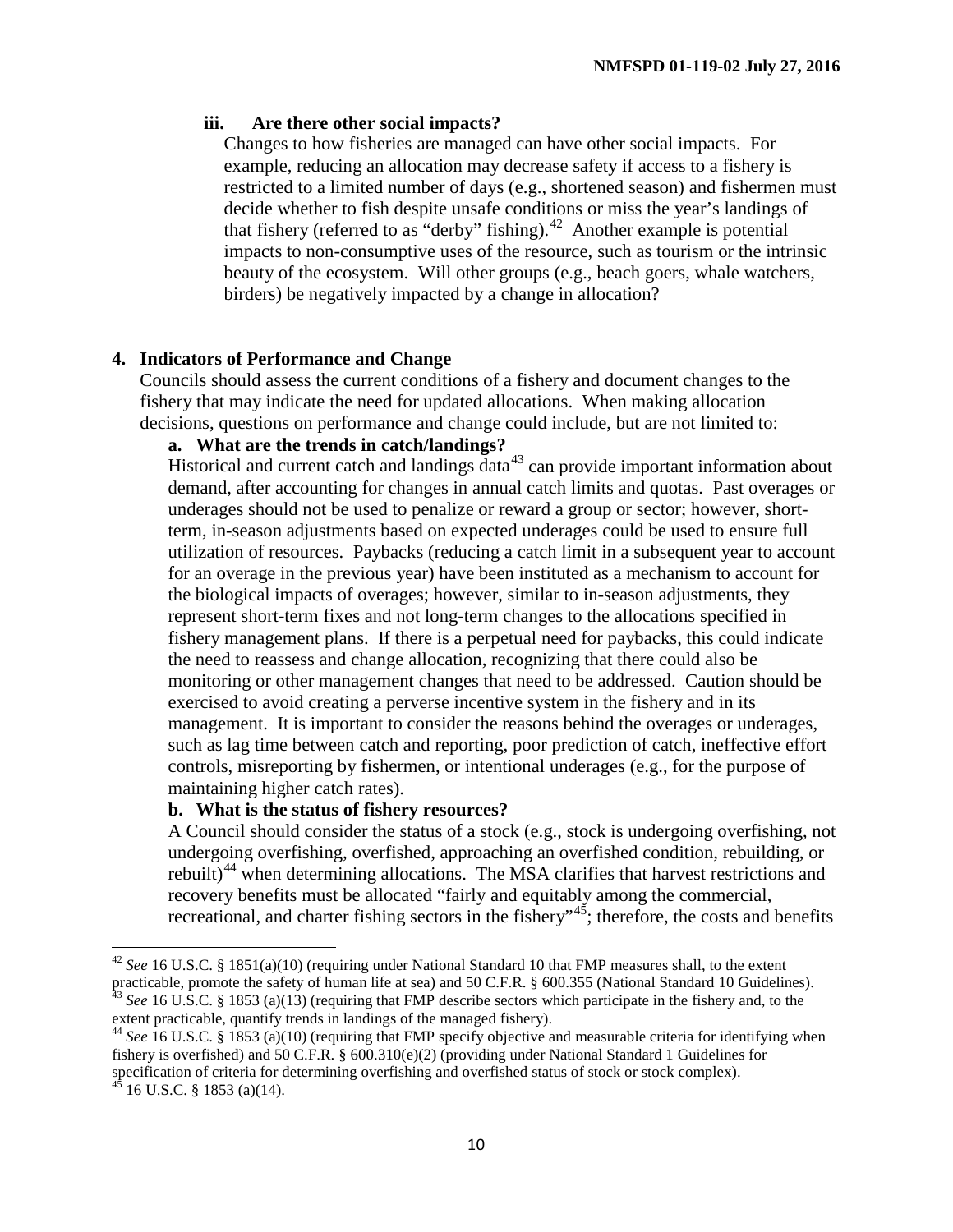#### **iii. Are there other social impacts?**

Changes to how fisheries are managed can have other social impacts. For example, reducing an allocation may decrease safety if access to a fishery is restricted to a limited number of days (e.g., shortened season) and fishermen must decide whether to fish despite unsafe conditions or miss the year's landings of that fishery (referred to as "derby" fishing).<sup>42</sup> Another example is potential impacts to non-consumptive uses of the resource, such as tourism or the intrinsic beauty of the ecosystem. Will other groups (e.g., beach goers, whale watchers, birders) be negatively impacted by a change in allocation?

## **4. Indicators of Performance and Change**

Councils should assess the current conditions of a fishery and document changes to the fishery that may indicate the need for updated allocations. When making allocation decisions, questions on performance and change could include, but are not limited to:

## **a. What are the trends in catch/landings?**

Historical and current catch and landings  $\det^{43}$  $\det^{43}$  $\det^{43}$  can provide important information about demand, after accounting for changes in annual catch limits and quotas. Past overages or underages should not be used to penalize or reward a group or sector; however, shortterm, in-season adjustments based on expected underages could be used to ensure full utilization of resources. Paybacks (reducing a catch limit in a subsequent year to account for an overage in the previous year) have been instituted as a mechanism to account for the biological impacts of overages; however, similar to in-season adjustments, they represent short-term fixes and not long-term changes to the allocations specified in fishery management plans. If there is a perpetual need for paybacks, this could indicate the need to reassess and change allocation, recognizing that there could also be monitoring or other management changes that need to be addressed. Caution should be exercised to avoid creating a perverse incentive system in the fishery and in its management. It is important to consider the reasons behind the overages or underages, such as lag time between catch and reporting, poor prediction of catch, ineffective effort controls, misreporting by fishermen, or intentional underages (e.g., for the purpose of maintaining higher catch rates).

#### **b. What is the status of fishery resources?**

A Council should consider the status of a stock (e.g., stock is undergoing overfishing, not undergoing overfishing, overfished, approaching an overfished condition, rebuilding, or rebuilt)<sup>[44](#page-10-2)</sup> when determining allocations. The MSA clarifies that harvest restrictions and recovery benefits must be allocated "fairly and equitably among the commercial, recreational, and charter fishing sectors in the fishery"<sup>[45](#page-10-3)</sup>; therefore, the costs and benefits

<span id="page-10-0"></span><sup>42</sup> *See* 16 U.S.C. § 1851(a)(10) (requiring under National Standard 10 that FMP measures shall, to the extent practicable, promote the safety of human life at sea) and 50 C.F.R. § 600.355 (National Standard 10 Guidelines).<br><sup>43</sup> See 16 U.S.C. § 1853 (a)(13) (requiring that FMP describe sectors which participate in the fishery and,

<span id="page-10-2"></span><span id="page-10-1"></span><sup>&</sup>lt;sup>44</sup> See 16 U.S.C. § 1853 (a)(10) (requiring that FMP specify objective and measurable criteria for identifying when fishery is overfished) and 50 C.F.R. §  $600.310(e)(2)$  (providing under National Standard 1 Guidelines for specification of criteria for determining overfishing and overfished status of stock or stock complex).

<span id="page-10-3"></span> $^{45}$  16 U.S.C. § 1853 (a)(14).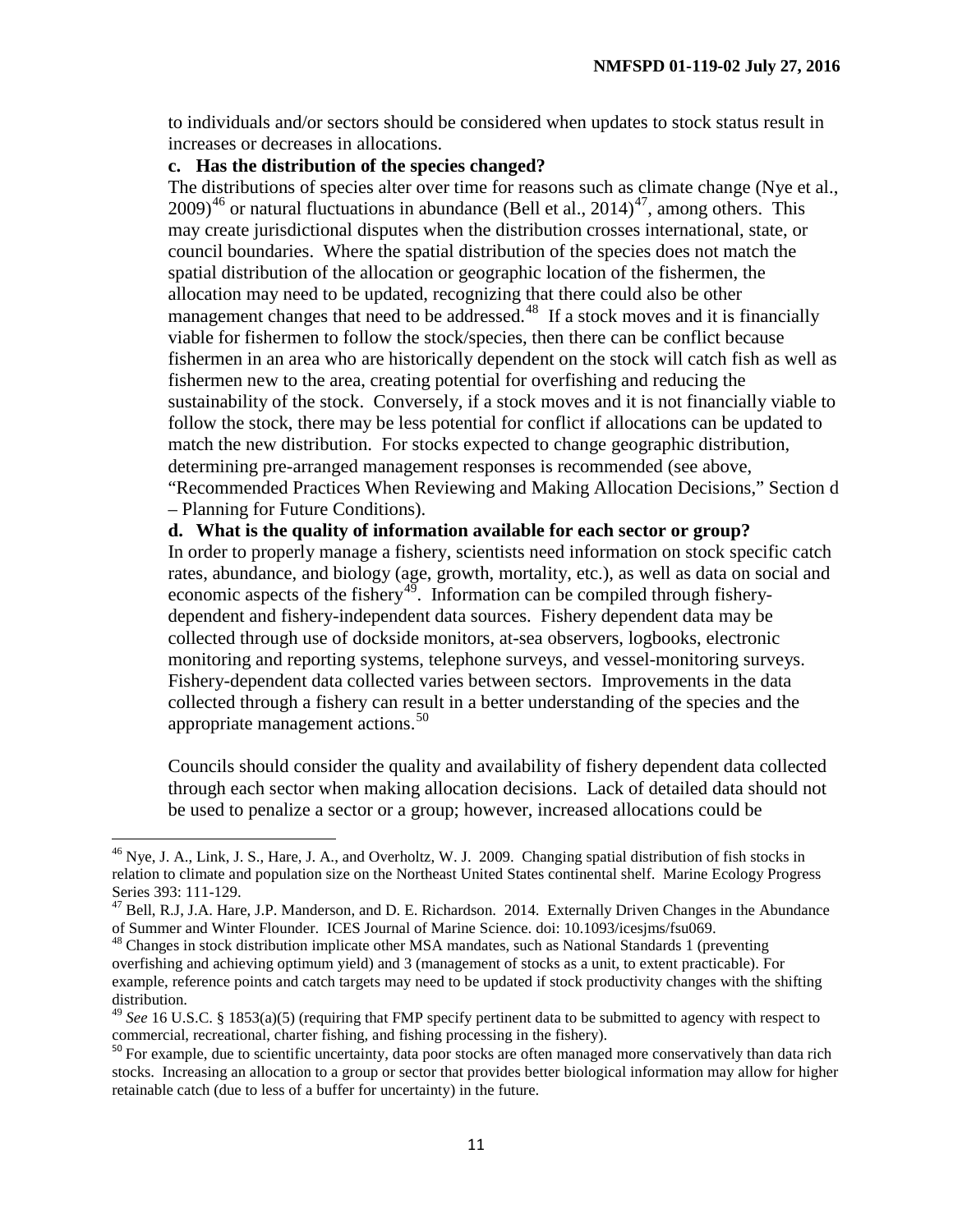to individuals and/or sectors should be considered when updates to stock status result in increases or decreases in allocations.

## **c. Has the distribution of the species changed?**

The distributions of species alter over time for reasons such as climate change (Nye et al.,  $2009$ <sup>[46](#page-11-0)</sup> or natural fluctuations in abundance (Bell et al., 2014)<sup>[47](#page-11-1)</sup>, among others. This may create jurisdictional disputes when the distribution crosses international, state, or council boundaries. Where the spatial distribution of the species does not match the spatial distribution of the allocation or geographic location of the fishermen, the allocation may need to be updated, recognizing that there could also be other management changes that need to be addressed.<sup>[48](#page-11-2)</sup> If a stock moves and it is financially viable for fishermen to follow the stock/species, then there can be conflict because fishermen in an area who are historically dependent on the stock will catch fish as well as fishermen new to the area, creating potential for overfishing and reducing the sustainability of the stock. Conversely, if a stock moves and it is not financially viable to follow the stock, there may be less potential for conflict if allocations can be updated to match the new distribution. For stocks expected to change geographic distribution, determining pre-arranged management responses is recommended (see above, "Recommended Practices When Reviewing and Making Allocation Decisions," Section d

– Planning for Future Conditions).

**d. What is the quality of information available for each sector or group?**

In order to properly manage a fishery, scientists need information on stock specific catch rates, abundance, and biology (age, growth, mortality, etc.), as well as data on social and economic aspects of the fishery<sup>49</sup>. Information can be compiled through fisherydependent and fishery-independent data sources. Fishery dependent data may be collected through use of dockside monitors, at-sea observers, logbooks, electronic monitoring and reporting systems, telephone surveys, and vessel-monitoring surveys. Fishery-dependent data collected varies between sectors. Improvements in the data collected through a fishery can result in a better understanding of the species and the appropriate management actions. [50](#page-11-4)

Councils should consider the quality and availability of fishery dependent data collected through each sector when making allocation decisions. Lack of detailed data should not be used to penalize a sector or a group; however, increased allocations could be

<span id="page-11-0"></span><sup>&</sup>lt;sup>46</sup> Nye, J. A., Link, J. S., Hare, J. A., and Overholtz, W. J. 2009. Changing spatial distribution of fish stocks in relation to climate and population size on the Northeast United States continental shelf. Marine Ecology Progress Series 393: 111-129.<br><sup>47</sup> Bell, R.J, J.A. Hare, J.P. Manderson, and D. E. Richardson. 2014. Externally Driven Changes in the Abundance

<span id="page-11-1"></span>of Summer and Winter Flounder. ICES Journal of Marine Science. doi: 10.1093/icesjms/fsu069.

<span id="page-11-2"></span><sup>&</sup>lt;sup>48</sup> Changes in stock distribution implicate other MSA mandates, such as National Standards 1 (preventing overfishing and achieving optimum yield) and 3 (management of stocks as a unit, to extent practicable). For example, reference points and catch targets may need to be updated if stock productivity changes with the shifting distribution.

<span id="page-11-3"></span><sup>&</sup>lt;sup>49</sup> *See* 16 U.S.C. § 1853(a)(5) (requiring that FMP specify pertinent data to be submitted to agency with respect to commercial, recreational, charter fishing, and fishing processing in the fishery).

<span id="page-11-4"></span><sup>&</sup>lt;sup>50</sup> For example, due to scientific uncertainty, data poor stocks are often managed more conservatively than data rich stocks. Increasing an allocation to a group or sector that provides better biological information may allow for higher retainable catch (due to less of a buffer for uncertainty) in the future.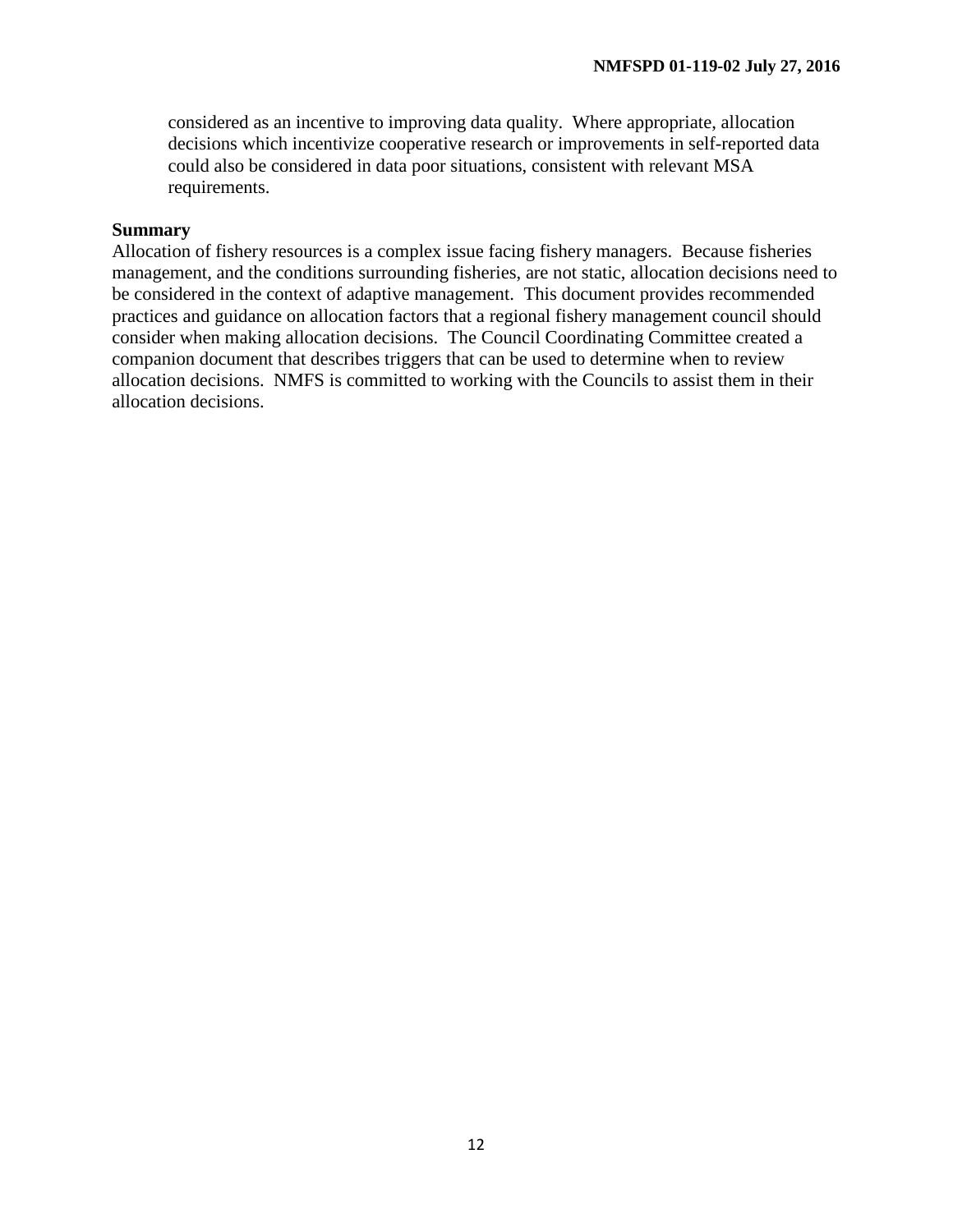considered as an incentive to improving data quality. Where appropriate, allocation decisions which incentivize cooperative research or improvements in self-reported data could also be considered in data poor situations, consistent with relevant MSA requirements.

#### **Summary**

Allocation of fishery resources is a complex issue facing fishery managers. Because fisheries management, and the conditions surrounding fisheries, are not static, allocation decisions need to be considered in the context of adaptive management. This document provides recommended practices and guidance on allocation factors that a regional fishery management council should consider when making allocation decisions. The Council Coordinating Committee created a companion document that describes triggers that can be used to determine when to review allocation decisions. NMFS is committed to working with the Councils to assist them in their allocation decisions.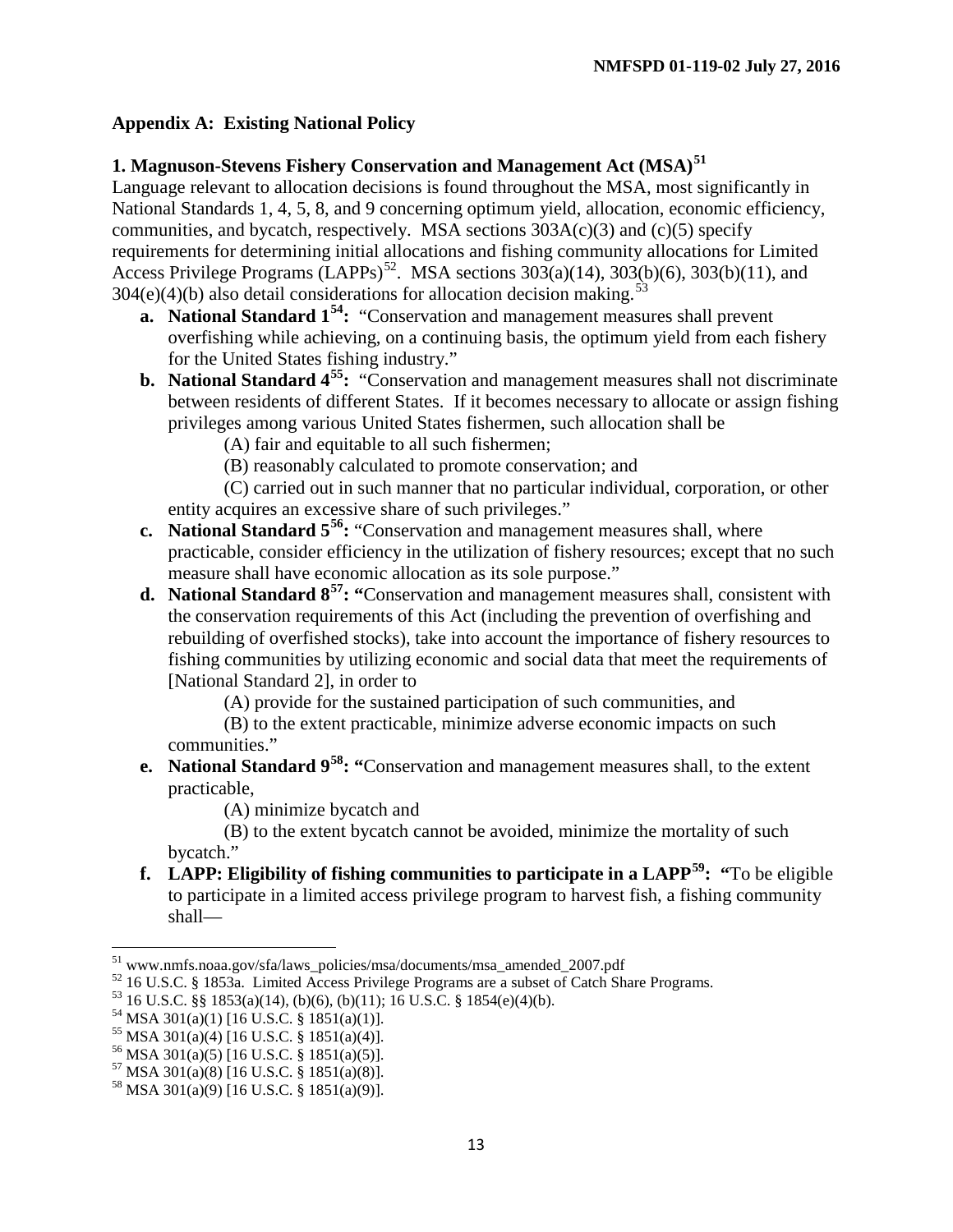# **Appendix A: Existing National Policy**

# **1. Magnuson-Stevens Fishery Conservation and Management Act (MSA) [51](#page-13-0)**

Language relevant to allocation decisions is found throughout the MSA, most significantly in National Standards 1, 4, 5, 8, and 9 concerning optimum yield, allocation, economic efficiency, communities, and bycatch, respectively. MSA sections  $303A(c)(3)$  and  $(c)(5)$  specify requirements for determining initial allocations and fishing community allocations for Limited Access Privilege Programs (LAPPs)<sup>[52](#page-13-1)</sup>. MSA sections  $303(a)(14)$ ,  $303(b)(6)$ ,  $303(b)(11)$ , and  $304(e)(4)(b)$  also detail considerations for allocation decision making.<sup>[53](#page-13-2)</sup>

- **a. National Standard 1[54:](#page-13-3)** "Conservation and management measures shall prevent overfishing while achieving, on a continuing basis, the optimum yield from each fishery for the United States fishing industry."
- **b. National Standard 4[55:](#page-13-4)** "Conservation and management measures shall not discriminate between residents of different States. If it becomes necessary to allocate or assign fishing privileges among various United States fishermen, such allocation shall be
	- (A) fair and equitable to all such fishermen;
	- (B) reasonably calculated to promote conservation; and

(C) carried out in such manner that no particular individual, corporation, or other entity acquires an excessive share of such privileges."

- **c. National Standard 5[56:](#page-13-5)** "Conservation and management measures shall, where practicable, consider efficiency in the utilization of fishery resources; except that no such measure shall have economic allocation as its sole purpose."
- **d. National Standard 8[57:](#page-13-6) "**Conservation and management measures shall, consistent with the conservation requirements of this Act (including the prevention of overfishing and rebuilding of overfished stocks), take into account the importance of fishery resources to fishing communities by utilizing economic and social data that meet the requirements of [National Standard 2], in order to

(A) provide for the sustained participation of such communities, and

(B) to the extent practicable, minimize adverse economic impacts on such communities."

**e. National Standard 9[58:](#page-13-7) "**Conservation and management measures shall, to the extent practicable,

(A) minimize bycatch and

(B) to the extent bycatch cannot be avoided, minimize the mortality of such bycatch."

**f. LAPP: Eligibility of fishing communities to participate in a LAPP[59](#page-13-5): "**To be eligible to participate in a limited access privilege program to harvest fish, a fishing community shall—

<span id="page-13-1"></span><span id="page-13-0"></span><sup>&</sup>lt;sup>51</sup> www.nmfs.noaa.gov/sfa/laws\_policies/msa/documents/msa\_amended\_2007.pdf<br><sup>52</sup> 16 U.S.C. § 1853a. Limited Access Privilege Programs are a subset of Catch Share Programs.<br><sup>53</sup> 16 U.S.C. §§ 1853(a)(14), (b)(6), (b)(11); 1

<span id="page-13-3"></span><span id="page-13-2"></span>

<span id="page-13-4"></span>

<span id="page-13-5"></span>

<span id="page-13-6"></span>

<span id="page-13-7"></span>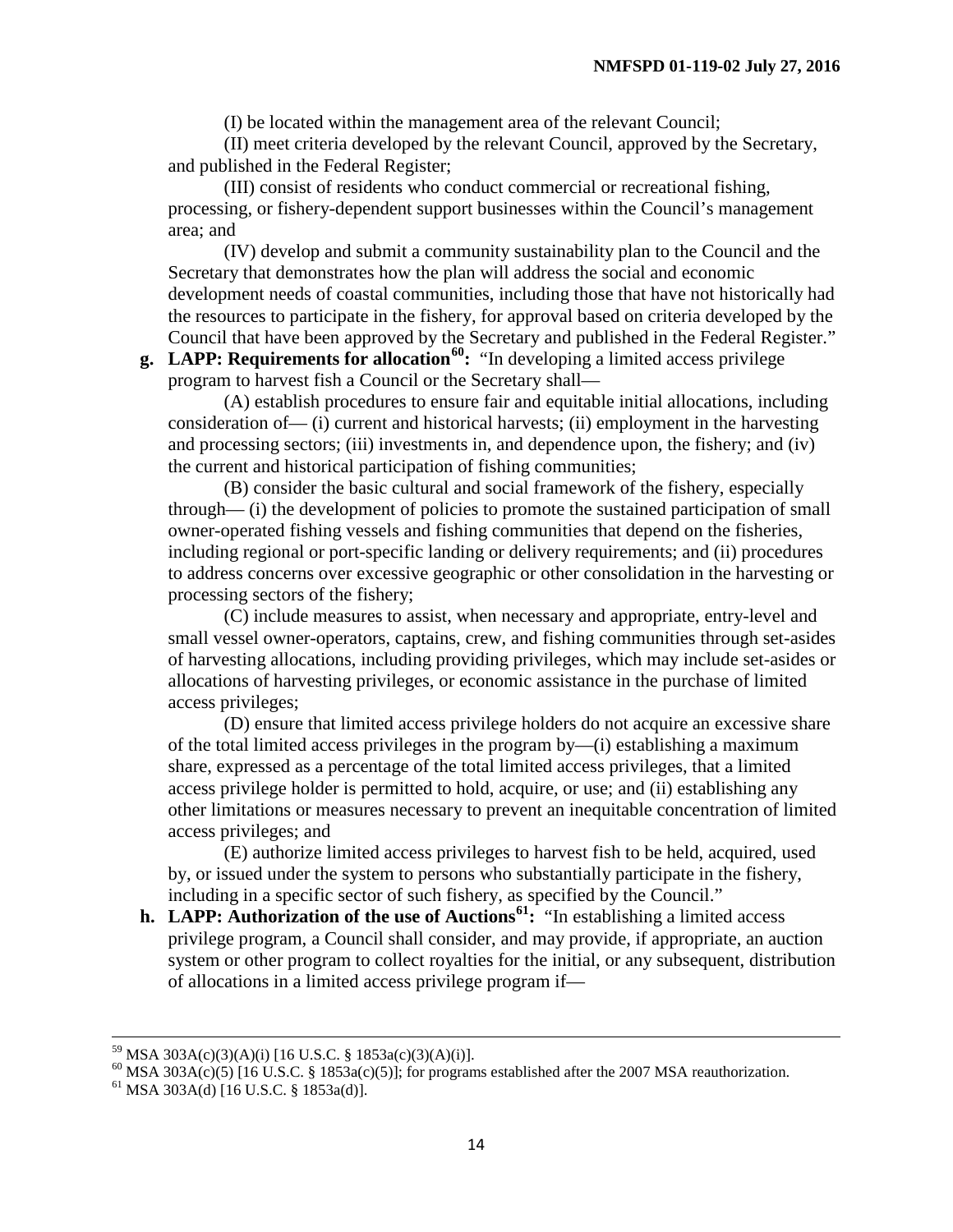(I) be located within the management area of the relevant Council;

(II) meet criteria developed by the relevant Council, approved by the Secretary, and published in the Federal Register;

(III) consist of residents who conduct commercial or recreational fishing, processing, or fishery-dependent support businesses within the Council's management area; and

(IV) develop and submit a community sustainability plan to the Council and the Secretary that demonstrates how the plan will address the social and economic development needs of coastal communities, including those that have not historically had the resources to participate in the fishery, for approval based on criteria developed by the Council that have been approved by the Secretary and published in the Federal Register."

**g. LAPP: Requirements for allocation[60](#page-14-0):** "In developing a limited access privilege program to harvest fish a Council or the Secretary shall—

(A) establish procedures to ensure fair and equitable initial allocations, including consideration of— (i) current and historical harvests; (ii) employment in the harvesting and processing sectors; (iii) investments in, and dependence upon, the fishery; and (iv) the current and historical participation of fishing communities;

(B) consider the basic cultural and social framework of the fishery, especially through— (i) the development of policies to promote the sustained participation of small owner-operated fishing vessels and fishing communities that depend on the fisheries, including regional or port-specific landing or delivery requirements; and (ii) procedures to address concerns over excessive geographic or other consolidation in the harvesting or processing sectors of the fishery;

(C) include measures to assist, when necessary and appropriate, entry-level and small vessel owner-operators, captains, crew, and fishing communities through set-asides of harvesting allocations, including providing privileges, which may include set-asides or allocations of harvesting privileges, or economic assistance in the purchase of limited access privileges;

(D) ensure that limited access privilege holders do not acquire an excessive share of the total limited access privileges in the program by—(i) establishing a maximum share, expressed as a percentage of the total limited access privileges, that a limited access privilege holder is permitted to hold, acquire, or use; and (ii) establishing any other limitations or measures necessary to prevent an inequitable concentration of limited access privileges; and

(E) authorize limited access privileges to harvest fish to be held, acquired, used by, or issued under the system to persons who substantially participate in the fishery, including in a specific sector of such fishery, as specified by the Council."

**h. LAPP: Authorization of the use of Auctions[61:](#page-14-1)** "In establishing a limited access privilege program, a Council shall consider, and may provide, if appropriate, an auction system or other program to collect royalties for the initial, or any subsequent, distribution of allocations in a limited access privilege program if—

<span id="page-14-0"></span><sup>&</sup>lt;sup>59</sup> MSA 303A(c)(3)(A)(i) [16 U.S.C. § 1853a(c)(3)(A)(i)].<br><sup>60</sup> MSA 303A(c)(5) [16 U.S.C. § 1853a(c)(5)]; for programs established after the 2007 MSA reauthorization.<br><sup>61</sup> MSA 303A(d) [16 U.S.C. § 1853a(d)].

<span id="page-14-1"></span>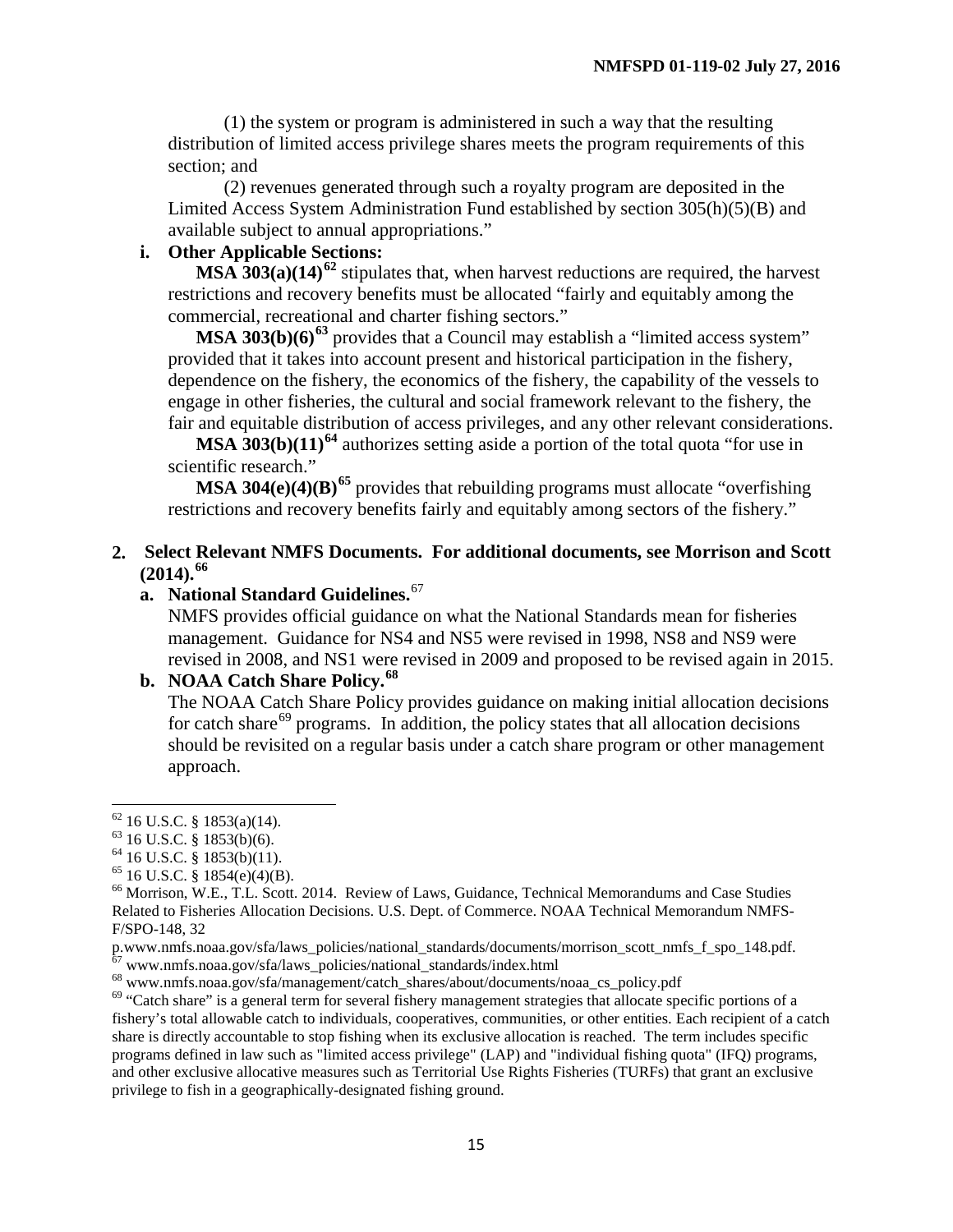(1) the system or program is administered in such a way that the resulting distribution of limited access privilege shares meets the program requirements of this section; and

(2) revenues generated through such a royalty program are deposited in the Limited Access System Administration Fund established by section 305(h)(5)(B) and available subject to annual appropriations."

## **i. Other Applicable Sections:**

**MSA 303(a)(14)[62](#page-15-0)** stipulates that, when harvest reductions are required, the harvest restrictions and recovery benefits must be allocated "fairly and equitably among the commercial, recreational and charter fishing sectors."

**MSA 303(b)(6)<sup>[63](#page-15-1)</sup>** provides that a Council may establish a "limited access system" provided that it takes into account present and historical participation in the fishery, dependence on the fishery, the economics of the fishery, the capability of the vessels to engage in other fisheries, the cultural and social framework relevant to the fishery, the fair and equitable distribution of access privileges, and any other relevant considerations.

**MSA 303(b)(11)<sup>[64](#page-15-2)</sup>** authorizes setting aside a portion of the total quota "for use in scientific research."

**MSA 304(e)(4)(B)[65](#page-15-3)** provides that rebuilding programs must allocate "overfishing restrictions and recovery benefits fairly and equitably among sectors of the fishery."

## **2. Select Relevant NMFS Documents. For additional documents, see Morrison and Scott (2014).[66](#page-15-4)**

# **a. National Standard Guidelines.** [67](#page-15-5)

NMFS provides official guidance on what the National Standards mean for fisheries management. Guidance for NS4 and NS5 were revised in 1998, NS8 and NS9 were revised in 2008, and NS1 were revised in 2009 and proposed to be revised again in 2015.

# **b. NOAA Catch Share Policy. [68](#page-15-6)**

The NOAA Catch Share Policy provides guidance on making initial allocation decisions for catch share<sup>[69](#page-15-7)</sup> programs. In addition, the policy states that all allocation decisions should be revisited on a regular basis under a catch share program or other management approach.

<span id="page-15-2"></span>

<span id="page-15-4"></span><span id="page-15-3"></span>

<span id="page-15-1"></span><span id="page-15-0"></span><sup>&</sup>lt;sup>62</sup> 16 U.S.C. § 1853(a)(14).<br>
<sup>63</sup> 16 U.S.C. § 1853(b)(6).<br>
<sup>64</sup> 16 U.S.C. § 1853(b)(11).<br>
<sup>65</sup> 16 U.S.C. § 1854(e)(4)(B).<br>
<sup>66</sup> Morrison, W.E., T.L. Scott. 2014. Review of Laws, Guidance, Technical Memorandums and Case Related to Fisheries Allocation Decisions. U.S. Dept. of Commerce. NOAA Technical Memorandum NMFS-F/SPO-148, 32

<span id="page-15-5"></span>p.www.nmfs.noaa.gov/sfa/laws\_policies/national\_standards/documents/morrison\_scott\_nmfs\_f\_spo\_148.pdf.<br>
<sup>67</sup> www.nmfs.noaa.gov/sfa/laws\_policies/national\_standards/index.html<br>
<sup>68</sup> www.nmfs.noaa.gov/sfa/management/catch\_sh

<span id="page-15-6"></span>

<span id="page-15-7"></span>fishery's total allowable catch to individuals, cooperatives, communities, or other entities. Each recipient of a catch share is directly accountable to stop fishing when its exclusive allocation is reached. The term includes specific programs defined in law such as "limited access privilege" (LAP) and "individual fishing quota" (IFQ) programs, and other exclusive allocative measures such as Territorial Use Rights Fisheries (TURFs) that grant an exclusive privilege to fish in a geographically-designated fishing ground.